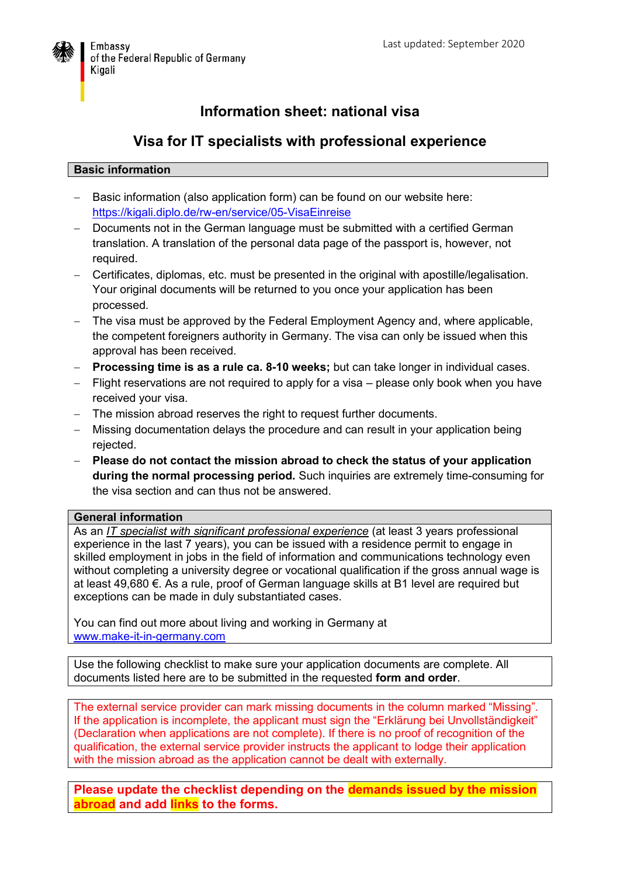

## **Information sheet: national visa**

### **Visa for IT specialists with professional experience**

#### **Basic information**

- Basic information (also application form) can be found on our website here: <https://kigali.diplo.de/rw-en/service/05-VisaEinreise>
- Documents not in the German language must be submitted with a certified German translation. A translation of the personal data page of the passport is, however, not required.
- Certificates, diplomas, etc. must be presented in the original with apostille/legalisation. Your original documents will be returned to you once your application has been processed.
- The visa must be approved by the Federal Employment Agency and, where applicable, the competent foreigners authority in Germany. The visa can only be issued when this approval has been received.
- **Processing time is as a rule ca. 8-10 weeks;** but can take longer in individual cases.
- Flight reservations are not required to apply for a visa please only book when you have received your visa.
- The mission abroad reserves the right to request further documents.
- Missing documentation delays the procedure and can result in your application being rejected.
- **Please do not contact the mission abroad to check the status of your application during the normal processing period.** Such inquiries are extremely time-consuming for the visa section and can thus not be answered.

#### **General information**

As an *IT specialist with significant professional experience* (at least 3 years professional experience in the last 7 years), you can be issued with a residence permit to engage in skilled employment in jobs in the field of information and communications technology even without completing a university degree or vocational qualification if the gross annual wage is at least 49,680 €. As a rule, proof of German language skills at B1 level are required but exceptions can be made in duly substantiated cases.

You can find out more about living and working in Germany at [www.make-it-in-germany.com](http://www.make-it-in-germany.com/)

Use the following checklist to make sure your application documents are complete. All documents listed here are to be submitted in the requested **form and order**.

The external service provider can mark missing documents in the column marked "Missing". If the application is incomplete, the applicant must sign the "Erklärung bei Unvollständigkeit" (Declaration when applications are not complete). If there is no proof of recognition of the qualification, the external service provider instructs the applicant to lodge their application with the mission abroad as the application cannot be dealt with externally.

**Please update the checklist depending on the demands issued by the mission abroad and add links to the forms.**